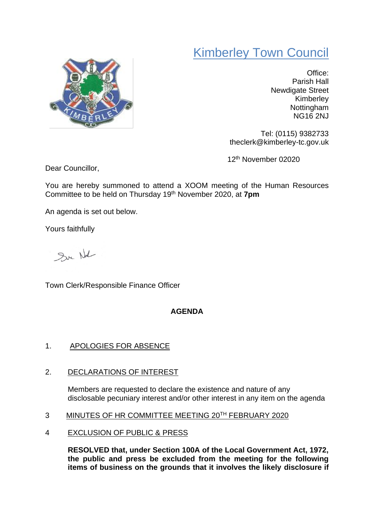## Kimberley Town Council



Office: Parish Hall Newdigate Street Kimberley Nottingham NG16 2NJ

Tel: (0115) 9382733 theclerk@kimberley-tc.gov.uk

12th November 02020

Dear Councillor,

You are hereby summoned to attend a XOOM meeting of the Human Resources Committee to be held on Thursday 19th November 2020, at **7pm**

An agenda is set out below.

Yours faithfully

Sur Not

Town Clerk/Responsible Finance Officer

## **AGENDA**

## 1. APOLOGIES FOR ABSENCE

2. DECLARATIONS OF INTEREST

Members are requested to declare the existence and nature of any disclosable pecuniary interest and/or other interest in any item on the agenda

- 3 MINUTES OF HR COMMITTEE MEETING 20<sup>TH</sup> FEBRUARY 2020
- 4 EXCLUSION OF PUBLIC & PRESS

**RESOLVED that, under Section 100A of the Local Government Act, 1972, the public and press be excluded from the meeting for the following items of business on the grounds that it involves the likely disclosure if**